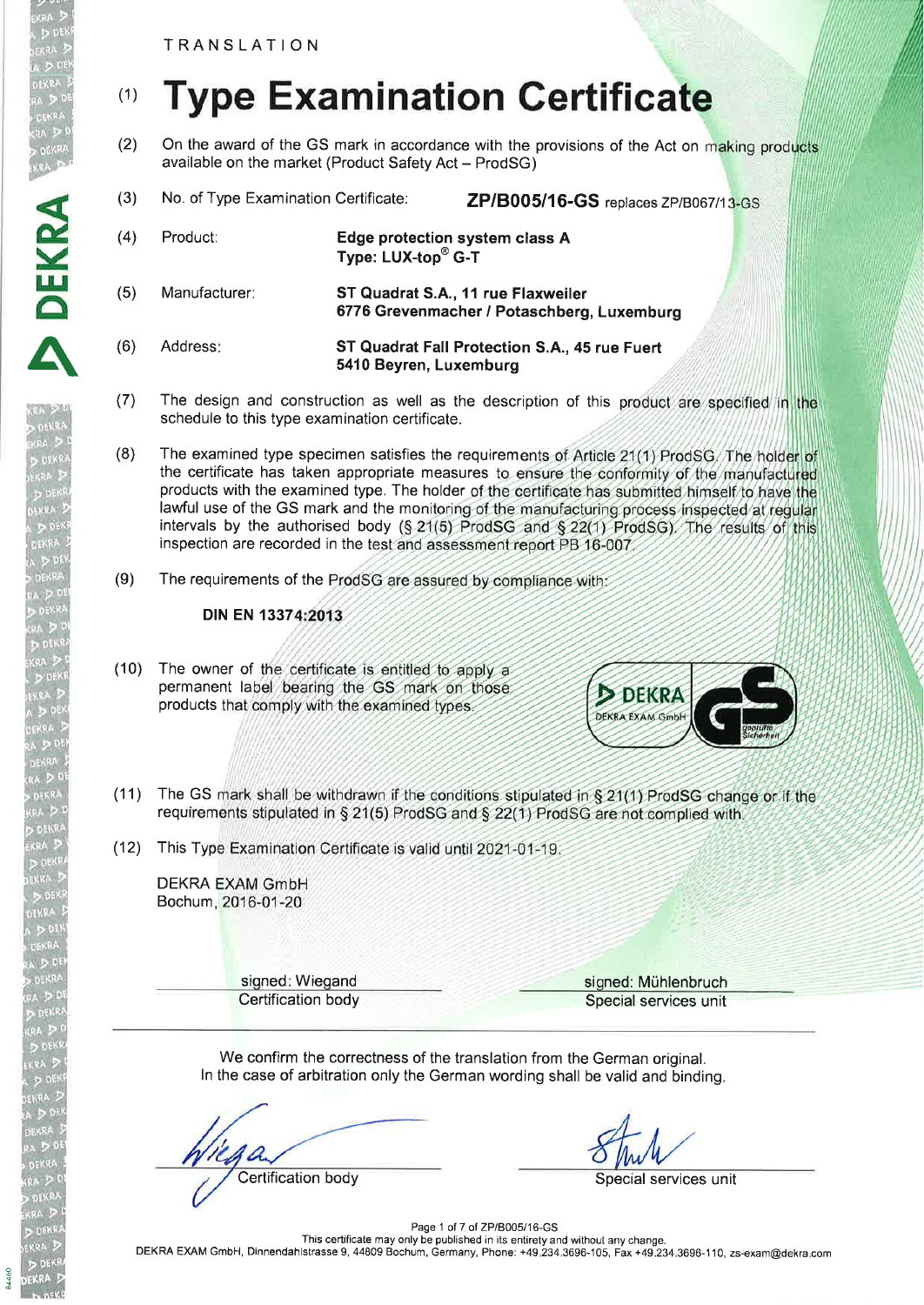TRANSLATION

<sub>A</sub> D DEN'<br><sub>DEKRA</sub> D<br><sub>UA</sub> D DEN<br><sub>DEKRA</sub> D

D DEKRA<br>EKRA D P

DEKR

A

DEKRA

# (1) Type Examination Certificate

- (2) On the award of the GS mark in accordance with the provisions of the Act on making products available on the market (Product Safety Act - ProdSG)
- (3) No. of Type Examination Certificate: ZP/B005/16-GS replaces ZP/B067/13-GS
- (4) Product: Edge protection system class A Type: LUX-top<sup>®</sup> G-T (5) Manufacturer: ST Quadrat S.A., 11 rue Flaxweiler 6776 Grevenmacher / Potaschberg, Luxemburg (6) Address: ST Quadrat Fall Protection S.A., 45 rue Fuert 5410 Beyren, Luxemburg
- (7) The design and construction as well as the description of this product are specified in the schedule to this type examination certificate.
- (8) The examined type specimen satisfies the requirements of Article 21(1) ProdSG/The holder of the certificate has taken appropriate measures to ensure the conformity of the manufactured products with the examined type. The holder of the certificate has submitted himself to have the lawful use of the GS mark and the monitoring of the manufacturing process inspected at regular intervals by the authorised body (§ 21(5) ProdSG and § 22(1) ProdSG). The results of this inspection are recorded in the test and assessment report PB 16-007.
- (9) The requirements of the ProdSG are assured by compliance with:

## DIN EN 13374:2013

(10) The owner of the certificate is entitled to apply a permanent label bearing the GS mark on those products that comply with the examined types.



- (11) The GS mark shall be withdrawn if the conditions stipulated in § 21(1) ProdSG change or if the requirements stipulated in § 21(5) ProdSG and § 22(1) ProdSG are not complied with.
- (12) This Type Examination Certificate is valid until 2021-01-19

**DEKRA EXAM GmbH** Bochum, 2016-01-20

signed: Wiegand signed: Mühlenbruch **Certification body** Special services unit

We confirm the correctness of the translation from the German original. ln the case of arbitration only the German wording shall be valid and binding.

**Certification body** Special services unit

Page 1 of 7 of ZP/B005/16-GS This certificate may only be published in its entirety and without any change. DEKM EXAM GmbH, Dinnendahlstrasse 9, 44809 Bochum, Germany, Phone: +49.234.3696-105, Fax +49.234.3696-110, zs-exam@dekra.com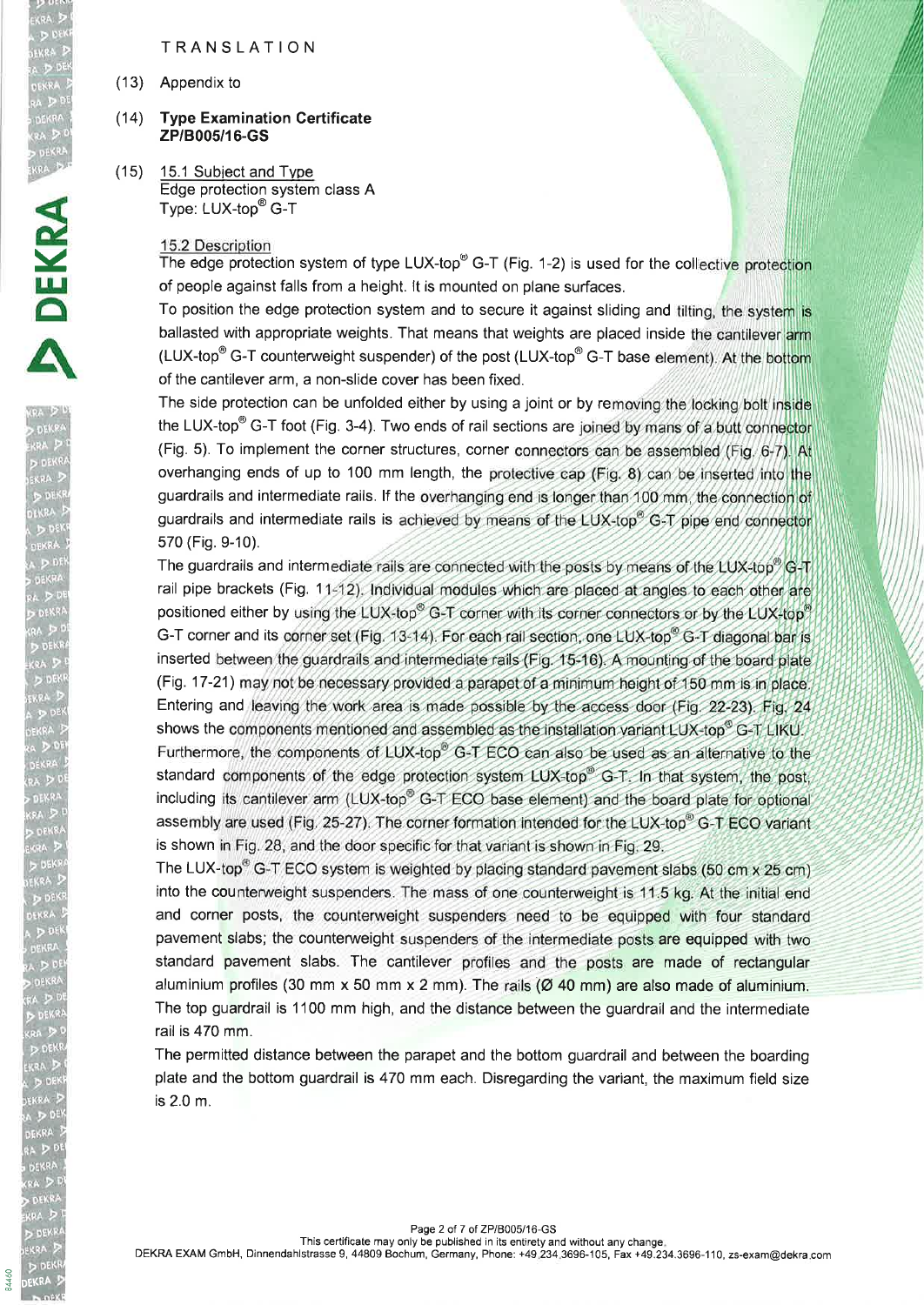### TRANSLATION

(13) Appendix to

EKRA DI<br>A DIDEKE<br>SEKRA D

ERRA DER<br>DEKRA DER<br>RA D<sup>DEI</sup>

**DEKRA**<br>FKRA DE

#### $(14)$ **Type Examination Certificate** zPl8005/16-GS

(15) 15.1 Subiect and Tvpe Edge protection system class A Type: LUX-top<sup>®</sup> G-T

#### 15.2 Description

The edge protection system of type LUX-top<sup>®</sup> G-T (Fig. 1-2) is used for the collective protection of people against falls from a height. lt is mounted on plane surfaces.

To position the edge protection system and to secure it against sliding and tilting, the system is ballasted with appropriate weights. That means that weights are placed inside the cantilever arm (LUX-top<sup>®</sup> G-T counterweight suspender) of the post (LUX-top<sup>®</sup> G-T base element). At the bottom of the cantilever arm, a non-slide cover has been fixed.

The side protection can be unfolded either by using a joint or by removing the locking bolt inside the LUX-top<sup>®</sup> G-T foot (Fig. 3-4). Two ends of rail sections are joined by mans of a butt connector (Fig. 5). To implement the corner structures, corner connectors can be assembled (Fig.  $6-7$ ). At overhanging ends of up to 100 mm length, the protective cap (Fig. 8) can be inserted into the guardrails and intermediate rails. If the overhanging end is longer than 100 mm, the connection of guardrails and intermediate rails is achieved by means of the LUX-top® G-T pipe end connector 570 (Fig. 9-10).

The guardrails and intermediate rails are connected with the posts by means of the LUX-top  $\degree$  G-T rail pipe brackets (Fig. 11-12). Individual modules which are placed at angles to each other are positioned either by using the LUX-top® G-T corner with its corner connectors or by the LUX-top® G-T corner and its corner set (Fig. 13-14). For each rail section, one LUX-top<sup>®</sup> G-T diagonal bar is inserted between the guardrails and intermediate rails (Fig. 15-16). A mounting of the board plate (Fig. 17-21) may not be necessary provided a parapet of a minimum height of 150 mm is in place. Entering and leaving the work area is made possible by the access door (Fig. 22-23). Fig. 24 shows the components mentioned and assembled as the installation variant LUX-top® G-T LIKU. Furthermore, the components of LUX-top® G-T ECO can also be used as an alternative to the standard components of the edge protection system LUX-top® G-T. In that system, the post, including its cantilever arm (LUX-top® G-T ECO base element) and the board plate for optional assembly are used (Fig. 25-27). The corner formation intended for the LUX-top® G-T ECO variant is shown in Fig. 28, and the door specific for that variant is shown in Fig. 29.

The LUX-top<sup>®</sup> G-T ECO system is weighted by placing standard pavement slabs (50 cm x 25 cm) into the counterweight suspenders. The mass of one counterweight is 11.5 kg. At the initial end and corner posts, the counterweight suspenders need to be equipped with four standard pavement slabs; the counterweight suspenders of the intermediate posts are equipped with two standard pavement slabs. The cantilever profiles and the posts are made of rectangular aluminium profiles (30 mm  $x$  50 mm  $x$  2 mm). The rails ( $\emptyset$  40 mm) are also made of aluminium. The top guardrail is 1100 mm high, and the distance between the guardrail and the intermediate rail is 470 mm.

The permitted distance between the parapet and the bottom guardrail and between the boarding plate and the bottom guardrail is 470 mm each. Disregarding the variant, the maximum field size is 2.0 m.

DEKRA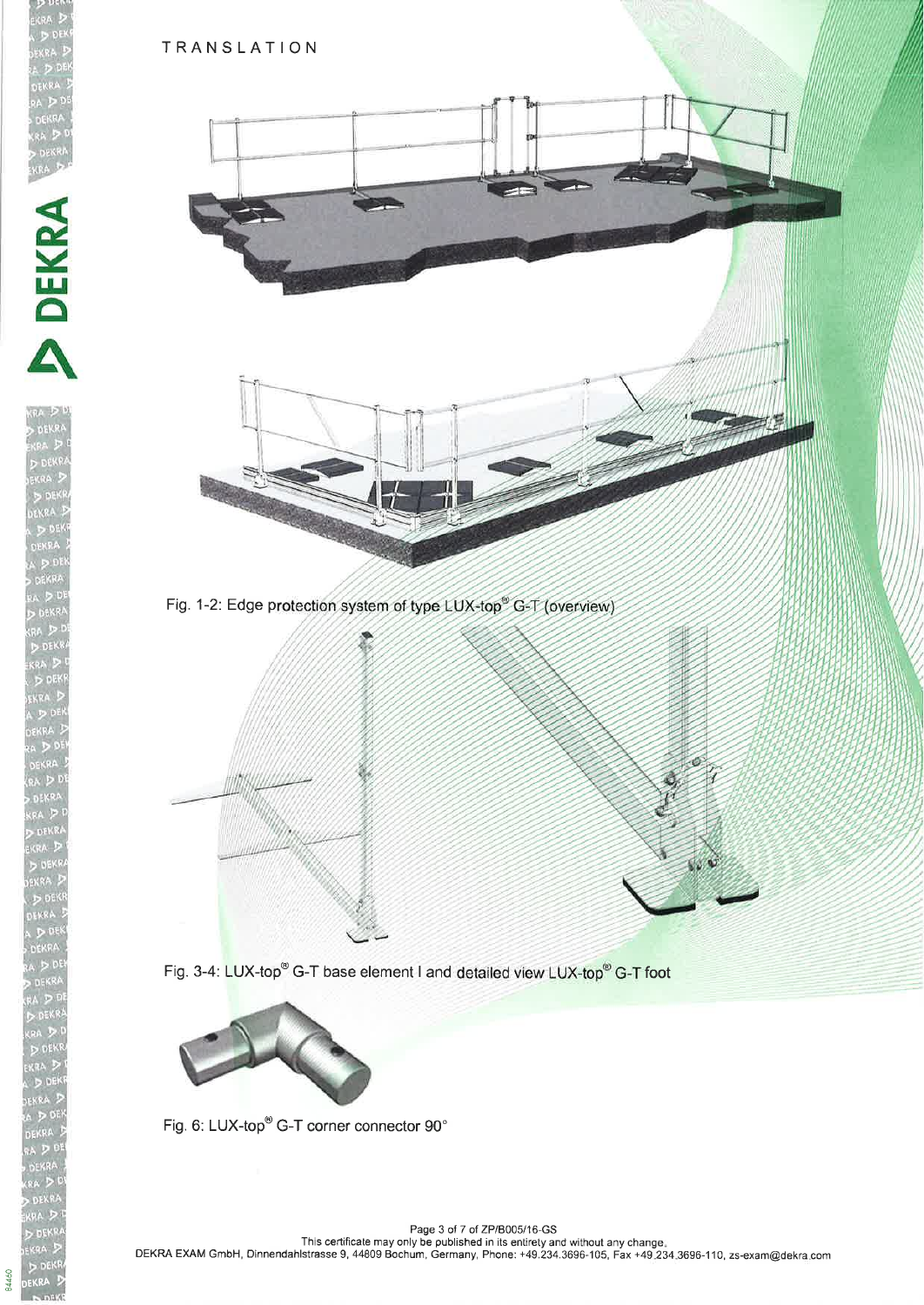**BA460** OEKRA



Fig. 1-2: Edge protection system of type LUX-top<sup>®</sup> G-T (overview)



Fig. 3-4: LUX-top<sup>®</sup> G-T base element I and detailed view LUX-top<sup>®</sup> G-T foot



Fig. 6: LUX-top<sup>®</sup> G-T corner connector 90°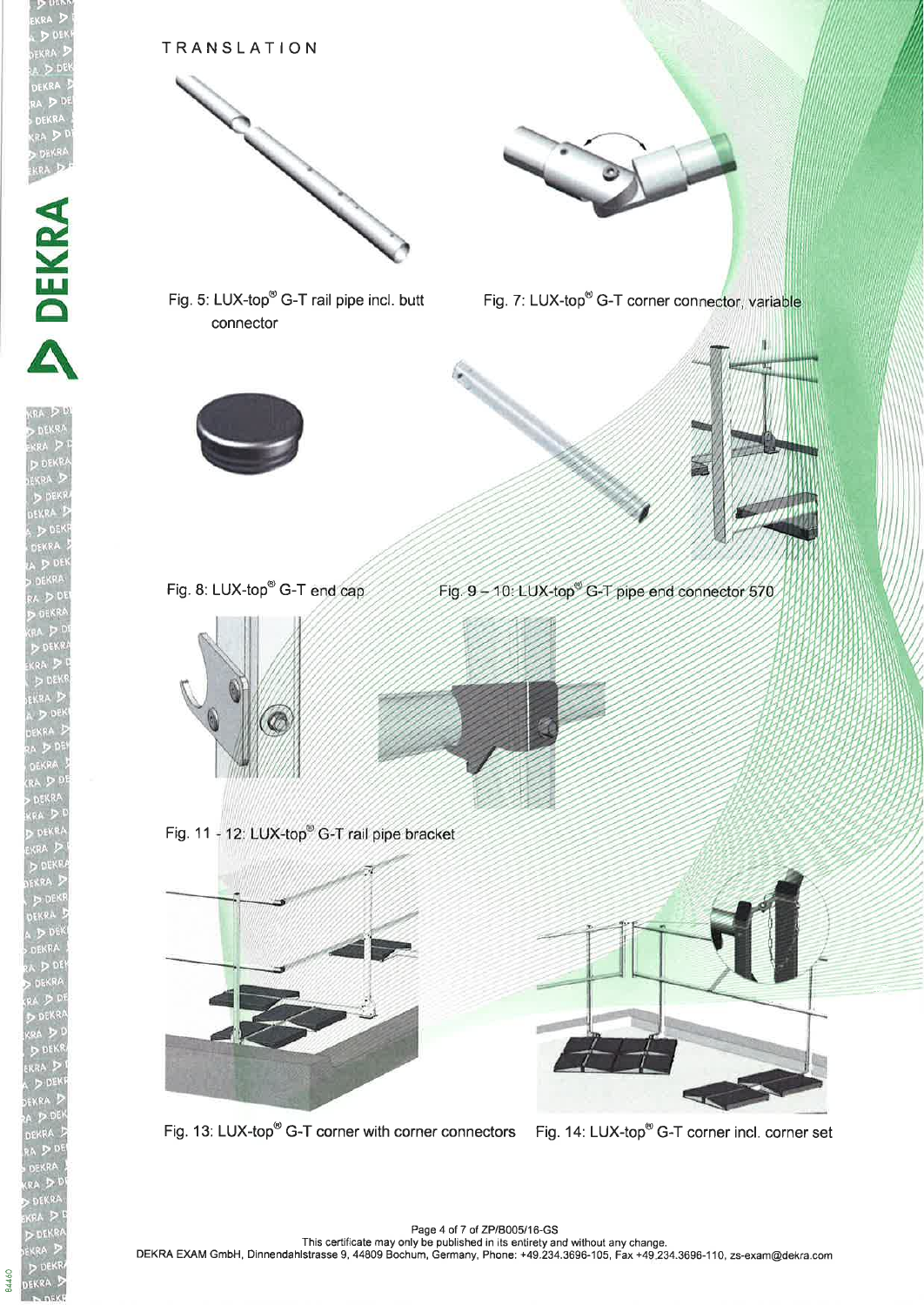

84460

Fig. 9 - 10: LUX-top<sup>®</sup> G-T pipe end connector 570





This certificate may only be published in its entirety and without any change.<br>DEKRA EXAM GmbH, Dinnendahlstrasse 9, 44809 Bochum, Germany, Phone: +49.234.3696-105, Fax +49.234.3696-110, zs-exam@dekra.co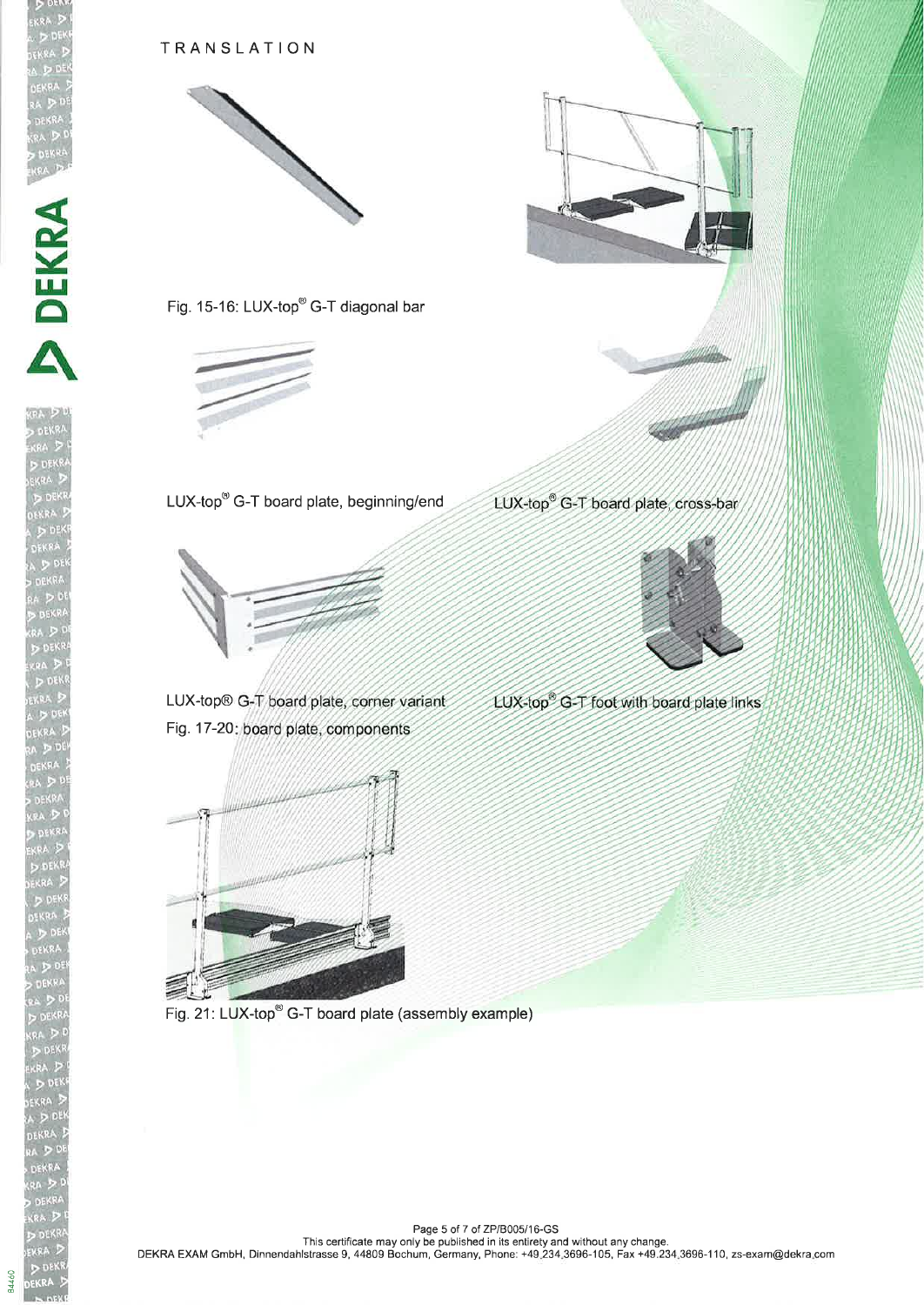

bEKRA

84460

## TRANSLATION











LUX-top® G-T board plate, corner variant Fig. 17-20: board plate, components







LUX-top® G-T board plate, cross-bar



LUX-top® G-T foot with board plate links

Page 5 of 7 of ZP/B005/16-GS<br>This certificate may only be published in its entirety and without any change.<br>DEKRA EXAM GmbH, Dinnendahlstrasse 9, 44809 Bochum, Germany, Phone: +49.234.3696-105, Fax +49.234.3696-110, zs-exa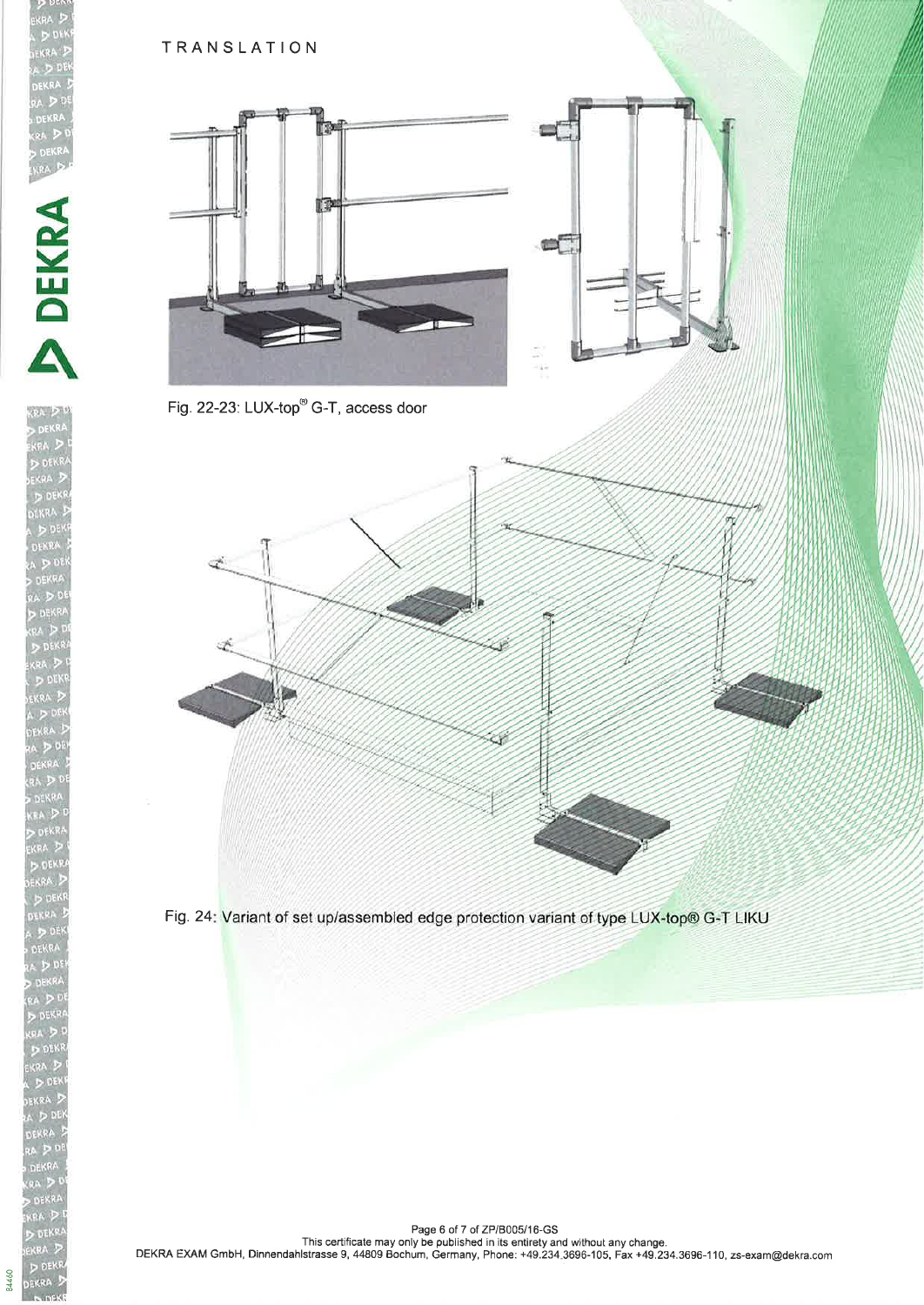

DEKRA  $\geq$ 

84460

## TRANSLATION





Fig. 22-23: LUX-top<sup>®</sup> G-T, access door



Fig. 24: Variant of set up/assembled edge protection variant of type LUX-top® G-T LIKU